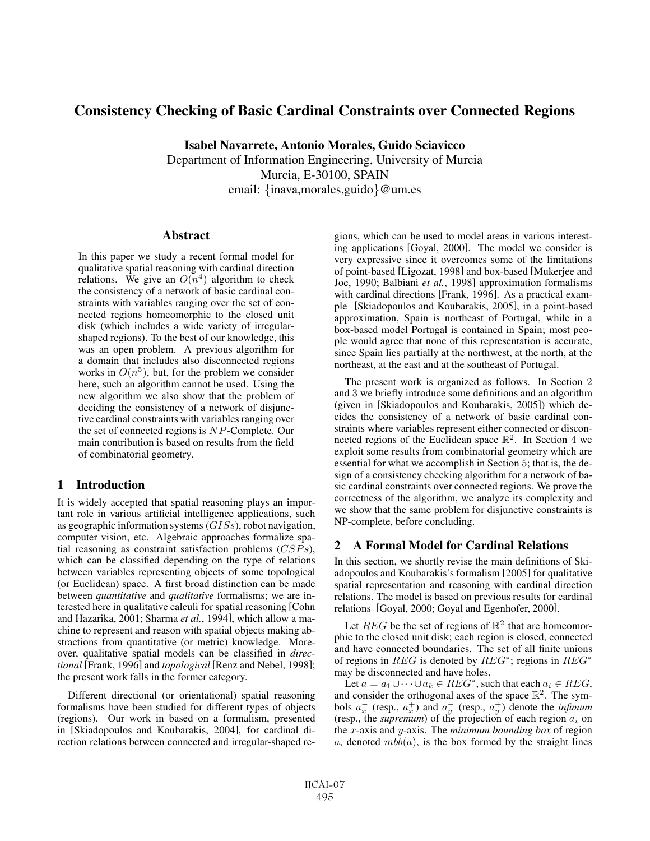# Consistency Checking of Basic Cardinal Constraints over Connected Regions

Isabel Navarrete, Antonio Morales, Guido Sciavicco Department of Information Engineering, University of Murcia Murcia, E-30100, SPAIN email: {inava,morales,guido}@um.es

### **Abstract**

In this paper we study a recent formal model for qualitative spatial reasoning with cardinal direction relations. We give an  $O(n^4)$  algorithm to check the consistency of a network of basic cardinal constraints with variables ranging over the set of connected regions homeomorphic to the closed unit disk (which includes a wide variety of irregularshaped regions). To the best of our knowledge, this was an open problem. A previous algorithm for a domain that includes also disconnected regions works in  $O(n^5)$ , but, for the problem we consider here, such an algorithm cannot be used. Using the new algorithm we also show that the problem of deciding the consistency of a network of disjunctive cardinal constraints with variables ranging over the set of connected regions is NP-Complete. Our main contribution is based on results from the field of combinatorial geometry.

# 1 Introduction

It is widely accepted that spatial reasoning plays an important role in various artificial intelligence applications, such as geographic information systems (GISs), robot navigation, computer vision, etc. Algebraic approaches formalize spatial reasoning as constraint satisfaction problems (CSPs), which can be classified depending on the type of relations between variables representing objects of some topological (or Euclidean) space. A first broad distinction can be made between *quantitative* and *qualitative* formalisms; we are interested here in qualitative calculi for spatial reasoning [Cohn and Hazarika, 2001; Sharma *et al.*, 1994], which allow a machine to represent and reason with spatial objects making abstractions from quantitative (or metric) knowledge. Moreover, qualitative spatial models can be classified in *directional* [Frank, 1996] and *topological* [Renz and Nebel, 1998]; the present work falls in the former category.

Different directional (or orientational) spatial reasoning formalisms have been studied for different types of objects (regions). Our work in based on a formalism, presented in [Skiadopoulos and Koubarakis, 2004], for cardinal direction relations between connected and irregular-shaped regions, which can be used to model areas in various interesting applications [Goyal, 2000]. The model we consider is very expressive since it overcomes some of the limitations of point-based [Ligozat, 1998] and box-based [Mukerjee and Joe, 1990; Balbiani *et al.*, 1998] approximation formalisms with cardinal directions [Frank, 1996]. As a practical example [Skiadopoulos and Koubarakis, 2005], in a point-based approximation, Spain is northeast of Portugal, while in a box-based model Portugal is contained in Spain; most people would agree that none of this representation is accurate, since Spain lies partially at the northwest, at the north, at the northeast, at the east and at the southeast of Portugal.

The present work is organized as follows. In Section 2 and 3 we briefly introduce some definitions and an algorithm (given in [Skiadopoulos and Koubarakis, 2005]) which decides the consistency of a network of basic cardinal constraints where variables represent either connected or disconnected regions of the Euclidean space  $\mathbb{R}^2$ . In Section 4 we exploit some results from combinatorial geometry which are essential for what we accomplish in Section 5; that is, the design of a consistency checking algorithm for a network of basic cardinal constraints over connected regions. We prove the correctness of the algorithm, we analyze its complexity and we show that the same problem for disjunctive constraints is NP-complete, before concluding.

# 2 A Formal Model for Cardinal Relations

In this section, we shortly revise the main definitions of Skiadopoulos and Koubarakis's formalism [2005] for qualitative spatial representation and reasoning with cardinal direction relations. The model is based on previous results for cardinal relations [Goyal, 2000; Goyal and Egenhofer, 2000].

Let REG be the set of regions of  $\mathbb{R}^2$  that are homeomorphic to the closed unit disk; each region is closed, connected and have connected boundaries. The set of all finite unions of regions in REG is denoted by REG<sup>\*</sup>; regions in REG<sup>\*</sup> may be disconnected and have holes.

Let  $a = a_1 \cup \cdots \cup a_k \in REG^*$ , such that each  $a_i \in REG$ , and consider the orthogonal axes of the space  $\mathbb{R}^2$ . The symbols  $a_x^-$  (resp.,  $a_x^+$ ) and  $a_y^-$  (resp.,  $a_y^+$ ) denote the *infimum* (resp., the *supremum*) of the projection of each region  $a_i$  on the x-axis and y-axis. The *minimum bounding box* of region a, denoted  $mbb(a)$ , is the box formed by the straight lines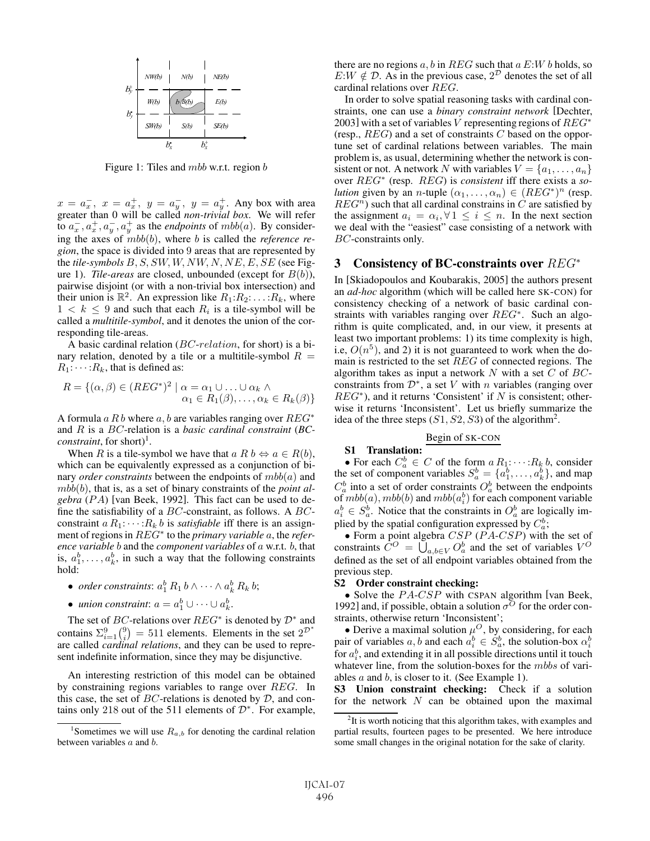

Figure 1: Tiles and *mbb* w.r.t. region *b* 

 $x = a_x^-$ ,  $x = a_x^+$ ,  $y = a_y^-$ ,  $y = a_y^+$ . Any box with area greater than 0 will be called *non-trivial box*. We will refer to  $a_x^-, a_x^+, a_y^-, a_y^+$  as the *endpoints* of mbb(a). By considering the axes of mbb(b), where b is called the *reference region*, the space is divided into 9 areas that are represented by the *tile-symbols* B, S, SW, W, NW, N, NE, E, SE (see Figure 1). *Tile-areas* are closed, unbounded (except for B(b)), pairwise disjoint (or with a non-trivial box intersection) and their union is  $\mathbb{R}^2$ . An expression like  $R_1:R_2:\ldots:R_k$ , where  $1 < k \leq 9$  and such that each  $R_i$  is a tile-symbol will be called a *multitile-symbol*, and it denotes the union of the corresponding tile-areas.

A basic cardinal relation (BC-relation, for short) is a binary relation, denoted by a tile or a multitile-symbol  $R =$  $R_1$ :  $\cdots$  :  $R_k$ , that is defined as:

$$
R = \{ (\alpha, \beta) \in (REG^*)^2 \mid \alpha = \alpha_1 \cup \ldots \cup \alpha_k \land \alpha_1 \in R_1(\beta), \ldots, \alpha_k \in R_k(\beta) \}
$$

A formula a R b where a, b are variables ranging over  $REG^*$ and R is a BC-relation is a *basic cardinal constraint* (*BCconstraint*, for short)<sup>1</sup>.

When R is a tile-symbol we have that  $a R b \Leftrightarrow a \in R(b)$ , which can be equivalently expressed as a conjunction of binary *order constraints* between the endpoints of mbb(a) and mbb(b), that is, as a set of binary constraints of the *point algebra* (PA) [van Beek, 1992]. This fact can be used to define the satisfiability of a  $BC$ -constraint, as follows. A  $BC$ constraint  $a R_1$ :  $\dots$ :  $R_k$  *b* is *satisfiable* iff there is an assignment of regions in REG<sup>∗</sup> to the *primary variable* a, the *reference variable* b and the *component variables* of a w.r.t. b, that is,  $a_1^b, \ldots, a_k^b$ , in such a way that the following constraints hold:

- *order constraints*:  $a_1^b R_1 b \wedge \cdots \wedge a_k^b R_k b$ ;
- *union constraint*:  $a = a_1^b \cup \cdots \cup a_k^b$ .

The set of BC-relations over  $REG^*$  is denoted by  $\mathcal{D}^*$  and contains  $\Sigma_{i=1}^{9} {9 \choose i} = 511$  elements. Elements in the set  $2^{\mathcal{D}^*}$ are called *cardinal relations*, and they can be used to represent indefinite information, since they may be disjunctive.

An interesting restriction of this model can be obtained by constraining regions variables to range over REG. In this case, the set of  $BC$ -relations is denoted by  $D$ , and contains only 218 out of the 511 elements of  $\mathcal{D}^*$ . For example, there are no regions  $a, b$  in REG such that  $a E: W b$  holds, so  $E:W \notin \mathcal{D}$ . As in the previous case,  $2^{\mathcal{D}}$  denotes the set of all cardinal relations over REG.

In order to solve spatial reasoning tasks with cardinal constraints, one can use a *binary constraint network* [Dechter, 2003] with a set of variables V representing regions of  $REG^*$ (resp.,  $REG$ ) and a set of constraints C based on the opportune set of cardinal relations between variables. The main problem is, as usual, determining whether the network is consistent or not. A network N with variables  $V = \{a_1, \ldots, a_n\}$ over REG<sup>∗</sup> (resp. REG) is *consistent* iff there exists a *solution* given by an *n*-tuple  $(\alpha_1, \ldots, \alpha_n) \in (REG^*)^n$  (resp.  $REG<sup>n</sup>$ ) such that all cardinal constrains in C are satisfied by the assignment  $a_i = \alpha_i, \forall 1 \leq i \leq n$ . In the next section we deal with the "easiest" case consisting of a network with BC-constraints only.

### 3 Consistency of BC-constraints over REG<sup>∗</sup>

In [Skiadopoulos and Koubarakis, 2005] the authors present an *ad-hoc* algorithm (which will be called here SK-CON) for consistency checking of a network of basic cardinal constraints with variables ranging over REG<sup>∗</sup>. Such an algorithm is quite complicated, and, in our view, it presents at least two important problems: 1) its time complexity is high, i.e,  $O(n^5)$ , and 2) it is not guaranteed to work when the domain is restricted to the set REG of connected regions. The algorithm takes as input a network  $N$  with a set  $C$  of  $BC$ constraints from  $\mathcal{D}^*$ , a set V with n variables (ranging over  $REG<sup>*</sup>$ ), and it returns 'Consistent' if N is consistent; otherwise it returns 'Inconsistent'. Let us briefly summarize the idea of the three steps  $(S1, S2, S3)$  of the algorithm<sup>2</sup>.

# Begin of SK-CON

#### S1 Translation:

• For each  $C_a^b \in C$  of the form  $a R_1$ :  $\dots$ :  $R_k b$ , consider the set of component variables  $S_a^b = \{a_1^b, \ldots, a_k^b\}$ , and map  $C_a^b$  into a set of order constraints  $O_a^b$  between the endpoints of  $mbb(a)$ ,  $mbb(b)$  and  $mbb(a_i^b)$  for each component variable  $a_i^b \in S_a^b$ . Notice that the constraints in  $O_a^b$  are logically implied by the spatial configuration expressed by  $C_a^b$ ;

• Form a point algebra  $CSP$  ( $P A-CSP$ ) with the set of constraints  $\dot{C}^O = \dot{U}_{a,b \in V} O_a^b$  and the set of variables  $V^O$ defined as the set of all endpoint variables obtained from the previous step.

#### S2 Order constraint checking:

• Solve the  $PA\text{-}CSP$  with CSPAN algorithm [van Beek, 1992] and, if possible, obtain a solution  $\sigma^{\circ}$  for the order constraints, otherwise return 'Inconsistent';

• Derive a maximal solution  $\mu^O$ , by considering, for each pair of variables a, b and each  $a_i^b \in S_a^b$ , the solution-box  $\alpha_i^b$ for  $a_i^b$ , and extending it in all possible directions until it touch whatever line, from the solution-boxes for the *mbbs* of variables  $a$  and  $b$ , is closer to it. (See Example 1).

S3 Union constraint checking: Check if a solution for the network  $N$  can be obtained upon the maximal

<sup>&</sup>lt;sup>1</sup>Sometimes we will use  $R_{a,b}$  for denoting the cardinal relation between variables a and b.

 $2$ It is worth noticing that this algorithm takes, with examples and partial results, fourteen pages to be presented. We here introduce some small changes in the original notation for the sake of clarity.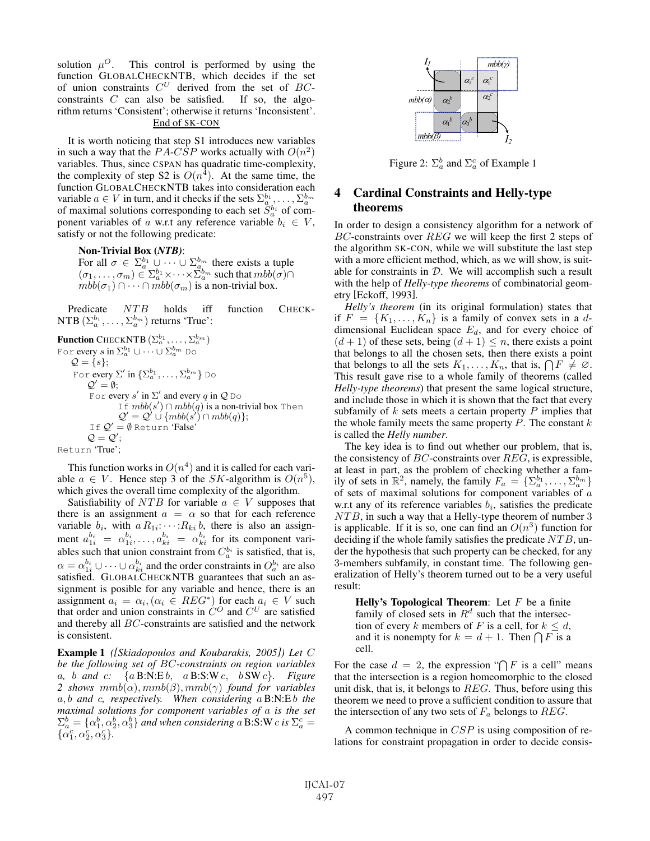solution  $\mu^{O}$ . This control is performed by using the function GLOBALCHECKNTB, which decides if the set of union constraints  $C^U$  derived from the set of  $BC$ constraints  $C$  can also be satisfied. If so, the algorithm returns 'Consistent'; otherwise it returns 'Inconsistent'. End of SK-CON

It is worth noticing that step S1 introduces new variables in such a way that the PA-CSP works actually with  $O(n^2)$ variables. Thus, since CSPAN has quadratic time-complexity, the complexity of step S2 is  $O(n<sup>4</sup>)$ . At the same time, the function GLOBALCHECKNTB takes into consideration each variable  $a \in V$  in turn, and it checks if the sets  $\Sigma_a^{b_1}, \ldots, \Sigma_a^{b_m}$ of maximal solutions corresponding to each set  $S_a^{b_i}$  of component variables of a w.r.t any reference variable  $b_i \in V$ , satisfy or not the following predicate:

Non-Trivial Box (*NTB)*:

For all  $\sigma \in \Sigma_a^{b_1} \cup \cdots \cup \Sigma_a^{b_m}$  there exists a tuple  $(\sigma_1, \ldots, \sigma_m) \in \Sigma_a^{b_1} \times \cdots \times \Sigma_a^{b_m}$  such that  $mbb(\sigma) \cap$  $mbb(\sigma_1) \cap \cdots \cap mbb(\sigma_m)$  is a non-trivial box.

Predicate NTB holds iff function CHECK-NTB  $(\Sigma_a^{b_1}, \ldots, \Sigma_a^{b_m})$  returns 'True':

**Function** CHECKNTB  $(\Sigma_a^{b_1}, \dots, \Sigma_a^{b_m})$ For  $\mathrm{every}\ s$  in  $\Sigma_a^{b_1}\cup\cdots\cup\Sigma_a^{b_m}$  Do  $\mathcal{Q} = \{s\};$ For every  $\Sigma'$  in  $\{\Sigma_a^{b_1}, \ldots, \Sigma_a^{b_m}\}$  Do  $Q' = \emptyset;$ For every s' in  $\Sigma'$  and every q in  $\mathcal Q$  Do If  $mbb(s') \cap mbb(q)$  is a non-trivial box Then  $Q' = Q' \cup \{mb(s') \cap mbb(q)\};$ If  $Q' = \emptyset$  Return 'False'  $\mathcal{Q} = \mathcal{Q}';$ Return 'True';

This function works in  $O(n^4)$  and it is called for each variable  $a \in V$ . Hence step 3 of the *SK*-algorithm is  $O(n^5)$ , which gives the overall time complexity of the algorithm.

Satisfiability of NTB for variable  $a \in V$  supposes that there is an assignment  $a = \alpha$  so that for each reference variable  $b_i$ , with  $a R_{1i}: \cdots: R_{ki} b$ , there is also an assignment  $a_{1i}^{b_i} = \alpha_{1i}^{b_i}, \ldots, a_{ki}^{b_i} = \alpha_{ki}^{b_i}$  for its component variables such that union constraint from  $C_a^{b_i}$  is satisfied, that is,  $\alpha = \alpha_{1i}^{b_i} \cup \cdots \cup \alpha_{ki}^{b_i}$  and the order constraints in  $O_a^{b_i}$  are also satisfied. GLOBALCHECKNTB guarantees that such an assignment is posible for any variable and hence, there is an assignment  $a_i = \alpha_i$ ,  $(\alpha_i \in REG^*)$  for each  $a_i \in V$  such that order and union constraints in  $\hat{C}^O$  and  $\hat{C}^U$  are satisfied and thereby all BC-constraints are satisfied and the network is consistent.

Example 1 *([Skiadopoulos and Koubarakis, 2005]) Let* C *be the following set of* BC*-constraints on region variables* a*,* b *and* c*:* {a B:N:E b, a B:S:W c, b SW c}*. Figure 2 shows*  $mmb(\alpha)$ ,  $mmb(\beta)$ ,  $mmb(\gamma)$  *found for variables* a, b *and* c*, respectively. When considering* a B:N:E b *the maximal solutions for component variables of* a *is the set*  $\Sigma_a^b = \{\alpha_1^b, \alpha_2^b, \alpha_3^b\}$  and when considering a B:S:W c is  $\Sigma_a^c =$  $\{\alpha_1^c, \alpha_2^c, \alpha_3^c\}.$ 



Figure 2:  $\Sigma_a^b$  and  $\Sigma_a^c$  of Example 1

# 4 Cardinal Constraints and Helly-type theorems

In order to design a consistency algorithm for a network of  $BC$ -constraints over  $REG$  we will keep the first 2 steps of the algorithm SK-CON, while we will substitute the last step with a more efficient method, which, as we will show, is suitable for constraints in  $D$ . We will accomplish such a result with the help of *Helly-type theorems* of combinatorial geometry [Eckoff, 1993].

*Helly's theorem* (in its original formulation) states that if  $F = \{K_1, \ldots, K_n\}$  is a family of convex sets in a ddimensional Euclidean space  $E_d$ , and for every choice of  $(d+1)$  of these sets, being  $(d+1) \leq n$ , there exists a point that belongs to all the chosen sets, then there exists a point that belongs to all the sets  $K_1, \ldots, K_n$ , that is,  $\bigcap F \neq \emptyset$ . This result gave rise to a whole family of theorems (called *Helly-type theorems*) that present the same logical structure, and include those in which it is shown that the fact that every subfamily of  $k$  sets meets a certain property  $P$  implies that the whole family meets the same property  $P$ . The constant  $k$ is called the *Helly number*.

The key idea is to find out whether our problem, that is, the consistency of  $BC$ -constraints over  $REG$ , is expressible, at least in part, as the problem of checking whether a family of sets in  $\mathbb{R}^2$ , namely, the family  $F_a = \{ \Sigma_a^{b_1}, \ldots, \Sigma_a^{b_m} \}$ of sets of maximal solutions for component variables of a w.r.t any of its reference variables  $b_i$ , satisfies the predicate NTB, in such a way that a Helly-type theorem of number 3 is applicable. If it is so, one can find an  $O(n^3)$  function for deciding if the whole family satisfies the predicate  $NTB$ , under the hypothesis that such property can be checked, for any 3-members subfamily, in constant time. The following generalization of Helly's theorem turned out to be a very useful result:

Helly's Topological Theorem: Let  $F$  be a finite family of closed sets in  $R^d$  such that the intersection of every k members of F is a cell, for  $k \leq d$ , and it is nonempty for  $k = d + 1$ . Then  $\bigcap F$  is a cell.

For the case  $d = 2$ , the expression " $\bigcap F$  is a cell" means that the intersection is a region homeomorphic to the closed unit disk, that is, it belongs to  $REG$ . Thus, before using this theorem we need to prove a sufficient condition to assure that the intersection of any two sets of  $F_a$  belongs to  $REG$ .

A common technique in CSP is using composition of relations for constraint propagation in order to decide consis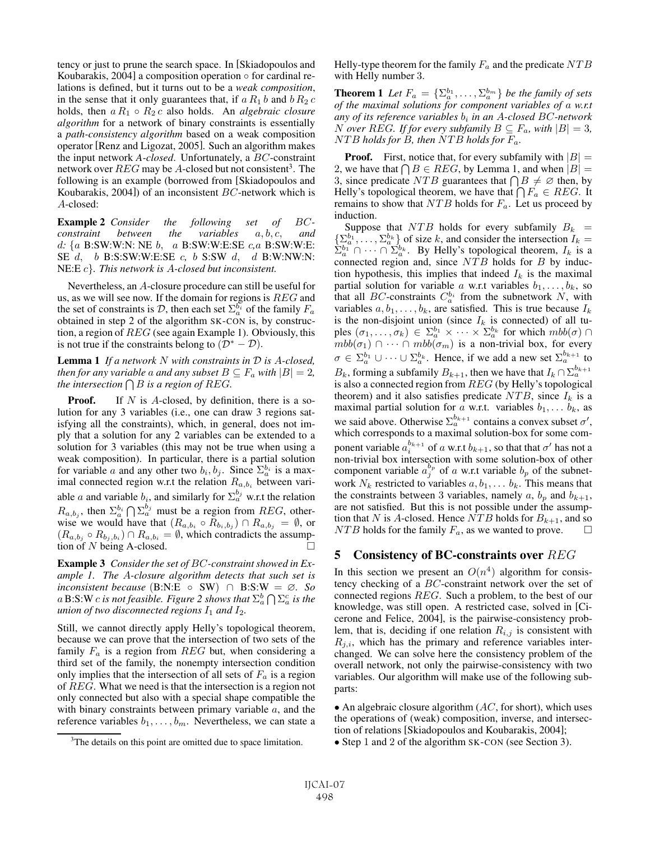tency or just to prune the search space. In [Skiadopoulos and Koubarakis, 2004] a composition operation  $\circ$  for cardinal relations is defined, but it turns out to be a *weak composition*, in the sense that it only guarantees that, if  $a R_1 b$  and  $b R_2 c$ holds, then a R<sup>1</sup> ◦ R<sup>2</sup> c also holds. An *algebraic closure algorithm* for a network of binary constraints is essentially a *path-consistency algorithm* based on a weak composition operator [Renz and Ligozat, 2005]. Such an algorithm makes the input network *A-closed*. Unfortunately, a BC-constraint network over  $REG$  may be A-closed but not consistent<sup>3</sup>. The following is an example (borrowed from [Skiadopoulos and Koubarakis, 2004]) of an inconsistent  $BC$ -network which is A-closed:

Example 2 *Consider the following set of* BC*constraint between the variables*  $a, b, c,$  *and* d*:* {a B:SW:W:N: NE b, a B:SW:W:E:SE c*,*a B:SW:W:E: SE d, b B:S:SW:W:E:SE c*,* b S:SW d, d B:W:NW:N: NE:E c}*. This network is* A*-closed but inconsistent.*

Nevertheless, an A-closure procedure can still be useful for us, as we will see now. If the domain for regions is REG and the set of constraints is  $\mathcal{D}$ , then each set  $\Sigma_a^{b_i}$  of the family  $F_a$ obtained in step 2 of the algorithm SK-CON is, by construction, a region of REG (see again Example 1). Obviously, this is not true if the constraints belong to  $(\mathcal{D}^* - \mathcal{D})$ .

Lemma 1 *If a network* N *with constraints in* D *is* A*-closed, then for any variable* a *and any subset*  $B \subseteq F_a$  *with*  $|B| = 2$ *, the intersection*  $\bigcap B$  *is a region of REG.* 

**Proof.** If N is A-closed, by definition, there is a solution for any 3 variables (i.e., one can draw 3 regions satisfying all the constraints), which, in general, does not imply that a solution for any 2 variables can be extended to a solution for 3 variables (this may not be true when using a weak composition). In particular, there is a partial solution for variable a and any other two  $b_i, b_j$ . Since  $\Sigma_a^{b_i}$  is a maximal connected region w.r.t the relation  $R_{a,b_i}$  between variable a and variable  $b_i$ , and similarly for  $\sum_{a}^{b_j}$  w.r.t the relation  $R_{a,b_j}$ , then  $\Sigma_a^{b_i} \bigcap \Sigma_a^{b_j}$  must be a region from  $REG$ , otherwise we would have that  $(R_{a,b_i} \circ R_{b_i,b_j}) \cap R_{a,b_j} = \emptyset$ , or  $(R_{a,b_j} \circ R_{b_j,b_i}) \cap R_{a,b_i} = \emptyset$ , which contradicts the assumption of N being A-closed.

Example 3 *Consider the set of* BC*-constraint showed in Example 1. The* A*-closure algorithm detects that such set is inconsistent because* (B:N:E ◦ SW) ∩ B:S:W = ∅*. So* a  $\mathrm{B:} \mathrm{S:} \mathrm{W}$  c is not feasible. Figure 2 shows that  $\Sigma_a^b \bigcap \Sigma_a^c$  is the *union of two disconnected regions*  $I_1$  *and*  $I_2$ *.* 

Still, we cannot directly apply Helly's topological theorem, because we can prove that the intersection of two sets of the family  $F_a$  is a region from  $REG$  but, when considering a third set of the family, the nonempty intersection condition only implies that the intersection of all sets of  $F_a$  is a region of REG. What we need is that the intersection is a region not only connected but also with a special shape compatible the with binary constraints between primary variable  $a$ , and the reference variables  $b_1, \ldots, b_m$ . Nevertheless, we can state a Helly-type theorem for the family  $F_a$  and the predicate  $NTB$ with Helly number 3.

**Theorem 1** Let  $F_a = {\{\sum_a^{b_1}, \ldots, \sum_a^{b_m}\}}$  be the family of sets *of the maximal solutions for component variables of* a *w.r.t* any of its reference variables  $b_i$  in an A-closed BC-network *N* over REG. If for every subfamily  $B \subseteq F_a$ , with  $|B| = 3$ , NTB *holds for* B*, then* NTB *holds for* Fa*.*

**Proof.** First, notice that, for every subfamily with  $|B|$  = 2, we have that  $\bigcap B \in REG$ , by Lemma 1, and when  $|B| =$ 3, since predicate NTB guarantees that  $\bigcap B \neq \emptyset$  then, by Helly's topological theorem, we have that  $\bigcap F_a \in REG$ . It remains to show that  $NTB$  holds for  $F_a$ . Let us proceed by induction.

Suppose that  $NTB$  holds for every subfamily  $B_k =$  $\{\Sigma_a^{b_1}$ ,  $\ldots, \Sigma_a^{b_k}\}$  of size k, and consider the intersection  $I_k =$  $\sum_{a=1}^{b_1} \bigcap_{i=1}^{b_2} \cdots \bigcap_{k=1}^{a_k} \sum_{k=1}^{b_k}$ . By Helly's topological theorem,  $I_k$  is a connected region and, since  $NTB$  holds for B by induction hypothesis, this implies that indeed  $I_k$  is the maximal partial solution for variable a w.r.t variables  $b_1, \ldots, b_k$ , so that all *BC*-constraints  $C_a^{b_i}$  from the subnetwork N, with variables  $a, b_1, \ldots, b_k$ , are satisfied. This is true because  $I_k$ is the non-disjoint union (since  $I_k$  is connected) of all tuples  $(\sigma_1,\ldots,\sigma_k) \in \Sigma_a^{b_1} \times \cdots \times \Sigma_a^{b_k}$  for which  $mbb(\sigma) \cap$  $mbb(\sigma_1) \cap \cdots \cap mb\bar{b}(\sigma_m)$  is a non-trivial box, for every  $\sigma \in \Sigma_a^{b_1} \cup \cdots \cup \Sigma_a^{b_k}$ . Hence, if we add a new set  $\Sigma_a^{b_{k+1}}$  to  $B_k$ , forming a subfamily  $B_{k+1}$ , then we have that  $I_k \cap \sum_{a}^{b_{k+1}}$ is also a connected region from REG (by Helly's topological theorem) and it also satisfies predicate  $NTB$ , since  $I_k$  is a maximal partial solution for a w.r.t. variables  $b_1, \ldots, b_k$ , as we said above. Otherwise  $\sum_{a}^{b_{k+1}}$  contains a convex subset  $\sigma'$ , which corresponds to a maximal solution-box for some component variable  $a_i^{b_{k+1}}$  of a w.r.t  $b_{k+1}$ , so that that  $\sigma'$  has not a non-trivial box intersection with some solution-box of other component variable  $a_j^{b_p}$  of a w.r.t variable  $b_p$  of the subnetwork  $N_k$  restricted to variables  $a, b_1, \ldots, b_k$ . This means that the constraints between 3 variables, namely a,  $b_p$  and  $b_{k+1}$ , are not satisfied. But this is not possible under the assumption that N is A-closed. Hence NTB holds for  $B_{k+1}$ , and so  $NTB$  holds for the family  $F_a$ , as we wanted to prove.  $\Box$ 

### 5 Consistency of BC-constraints over REG

In this section we present an  $O(n^4)$  algorithm for consistency checking of a BC-constraint network over the set of connected regions REG. Such a problem, to the best of our knowledge, was still open. A restricted case, solved in [Cicerone and Felice, 2004], is the pairwise-consistency problem, that is, deciding if one relation  $R_{i,j}$  is consistent with  $R_{j,i}$ , which has the primary and reference variables interchanged. We can solve here the consistency problem of the overall network, not only the pairwise-consistency with two variables. Our algorithm will make use of the following subparts:

• An algebraic closure algorithm  $(AC,$  for short), which uses the operations of (weak) composition, inverse, and intersection of relations [Skiadopoulos and Koubarakis, 2004];

• Step 1 and 2 of the algorithm SK-CON (see Section 3).

<sup>&</sup>lt;sup>3</sup>The details on this point are omitted due to space limitation.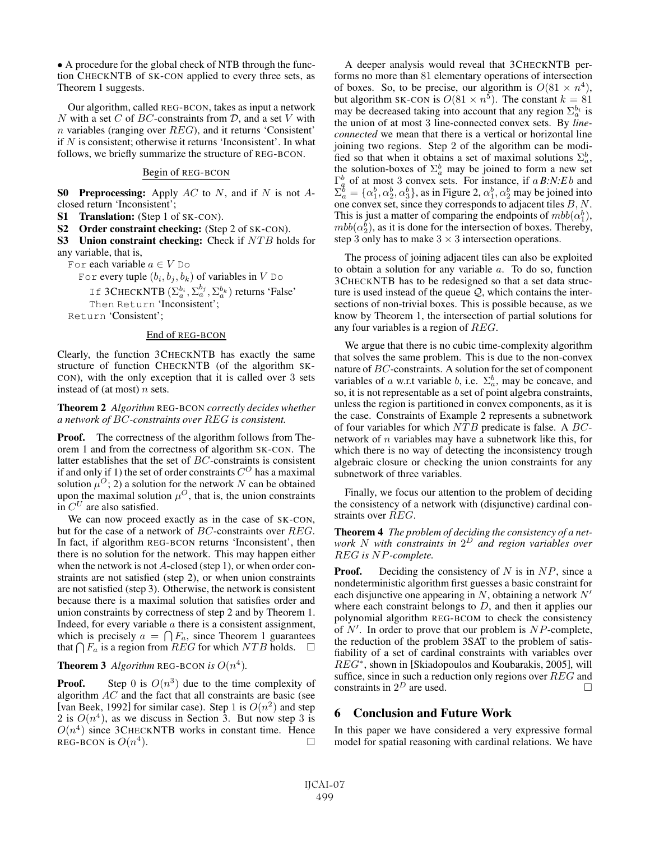• A procedure for the global check of NTB through the function CHECKNTB of SK-CON applied to every three sets, as Theorem 1 suggests.

Our algorithm, called REG-BCON, takes as input a network N with a set C of BC-constraints from  $D$ , and a set V with n variables (ranging over  $REG$ ), and it returns 'Consistent' if  $N$  is consistent; otherwise it returns 'Inconsistent'. In what follows, we briefly summarize the structure of REG-BCON.

#### Begin of REG-BCON

**S0** Preprocessing: Apply  $AC$  to  $N$ , and if  $N$  is not  $A$ closed return 'Inconsistent';

S1 Translation: (Step 1 of SK-CON).

S2 Order constraint checking: (Step 2 of SK-CON).

S3 Union constraint checking: Check if NTB holds for any variable, that is,

For each variable  $a \in V$  Do

For every tuple  $(b_i, b_j, b_k)$  of variables in V Do

If 3CHECKNTB  $(\Sigma_a^{b_i}, \Sigma_a^{b_j}, \Sigma_a^{b_k})$  returns 'False' Then Return 'Inconsistent';

Return 'Consistent';

#### End of REG-BCON

Clearly, the function 3CHECKNTB has exactly the same structure of function CHECKNTB (of the algorithm SK-CON), with the only exception that it is called over 3 sets instead of (at most)  $n$  sets.

#### Theorem 2 *Algorithm* REG-BCON *correctly decides whether a network of* BC*-constraints over* REG *is consistent.*

**Proof.** The correctness of the algorithm follows from Theorem 1 and from the correctness of algorithm SK-CON. The latter establishes that the set of BC-constraints is consistent if and only if 1) the set of order constraints  $C^{O}$  has a maximal solution  $\mu^{O}$ ; 2) a solution for the network N can be obtained upon the maximal solution  $\mu^O$ , that is, the union constraints in  $C^U$  are also satisfied.

We can now proceed exactly as in the case of SK-CON, but for the case of a network of BC-constraints over REG. In fact, if algorithm REG-BCON returns 'Inconsistent', then there is no solution for the network. This may happen either when the network is not A-closed (step 1), or when order constraints are not satisfied (step 2), or when union constraints are not satisfied (step 3). Otherwise, the network is consistent because there is a maximal solution that satisfies order and union constraints by correctness of step 2 and by Theorem 1. Indeed, for every variable  $\alpha$  there is a consistent assignment, which is precisely  $a = \bigcap F_a$ , since Theorem 1 guarantees that  $\bigcap F_a$  is a region from  $REG$  for which  $NTB$  holds.  $\Box$ 

### **Theorem 3** Algorithm REG-BCON is  $O(n^4)$ .

**Proof.** Step 0 is  $O(n^3)$  due to the time complexity of algorithm AC and the fact that all constraints are basic (see [van Beek, 1992] for similar case). Step 1 is  $O(n^2)$  and step 2 is  $O(n^4)$ , as we discuss in Section 3. But now step 3 is  $O(n^4)$  since 3CHECKNTB works in constant time. Hence REG-BCON is  $O(n^4)$ .

A deeper analysis would reveal that 3CHECKNTB performs no more than 81 elementary operations of intersection of boxes. So, to be precise, our algorithm is  $O(81 \times n^4)$ , but algorithm SK-CON is  $O(81 \times n^5)$ . The constant  $k = 81$ may be decreased taking into account that any region  $\Sigma_a^{b_i}$  is the union of at most 3 line-connected convex sets. By *lineconnected* we mean that there is a vertical or horizontal line joining two regions. Step 2 of the algorithm can be modified so that when it obtains a set of maximal solutions  $\Sigma_a^b$ , the solution-boxes of  $\Sigma_a^b$  may be joined to form a new set  $\Gamma_a^b$  of at most 3 convex sets. For instance, if a *B:N:Eb* and  $\Sigma_a^b = \{\alpha_1^b, \alpha_2^b, \alpha_3^b\}$ , as in Figure 2,  $\alpha_1^b, \alpha_2^b$  may be joined into one convex set, since they corresponds to adjacent tiles  $B, N$ . This is just a matter of comparing the endpoints of  $mbb(\alpha_1^b)$ ,  $mbb(\alpha_2^b)$ , as it is done for the intersection of boxes. Thereby, step 3 only has to make  $3 \times 3$  intersection operations.

The process of joining adjacent tiles can also be exploited to obtain a solution for any variable a. To do so, function 3CHECKNTB has to be redesigned so that a set data structure is used instead of the queue  $Q$ , which contains the intersections of non-trivial boxes. This is possible because, as we know by Theorem 1, the intersection of partial solutions for any four variables is a region of REG.

We argue that there is no cubic time-complexity algorithm that solves the same problem. This is due to the non-convex nature of BC-constraints. A solution for the set of component variables of a w.r.t variable b, i.e.  $\Sigma_a^b$ , may be concave, and so, it is not representable as a set of point algebra constraints, unless the region is partitioned in convex components, as it is the case. Constraints of Example 2 represents a subnetwork of four variables for which  $NTB$  predicate is false. A  $BC$ network of  $n$  variables may have a subnetwork like this, for which there is no way of detecting the inconsistency trough algebraic closure or checking the union constraints for any subnetwork of three variables.

Finally, we focus our attention to the problem of deciding the consistency of a network with (disjunctive) cardinal constraints over REG.

Theorem 4 *The problem of deciding the consistency of a network* N *with constraints in* 2<sup>D</sup> *and region variables over* REG *is* NP*-complete.*

**Proof.** Deciding the consistency of N is in  $NP$ , since a nondeterministic algorithm first guesses a basic constraint for each disjunctive one appearing in  $N$ , obtaining a network  $N'$ where each constraint belongs to  $D$ , and then it applies our polynomial algorithm REG-BCOM to check the consistency of  $N'$ . In order to prove that our problem is  $NP$ -complete, the reduction of the problem 3SAT to the problem of satisfiability of a set of cardinal constraints with variables over  $REG^*$ , shown in [Skiadopoulos and Koubarakis, 2005], will suffice, since in such a reduction only regions over REG and constraints in  $2^D$  are used.  $\Box$ 

### 6 Conclusion and Future Work

In this paper we have considered a very expressive formal model for spatial reasoning with cardinal relations. We have